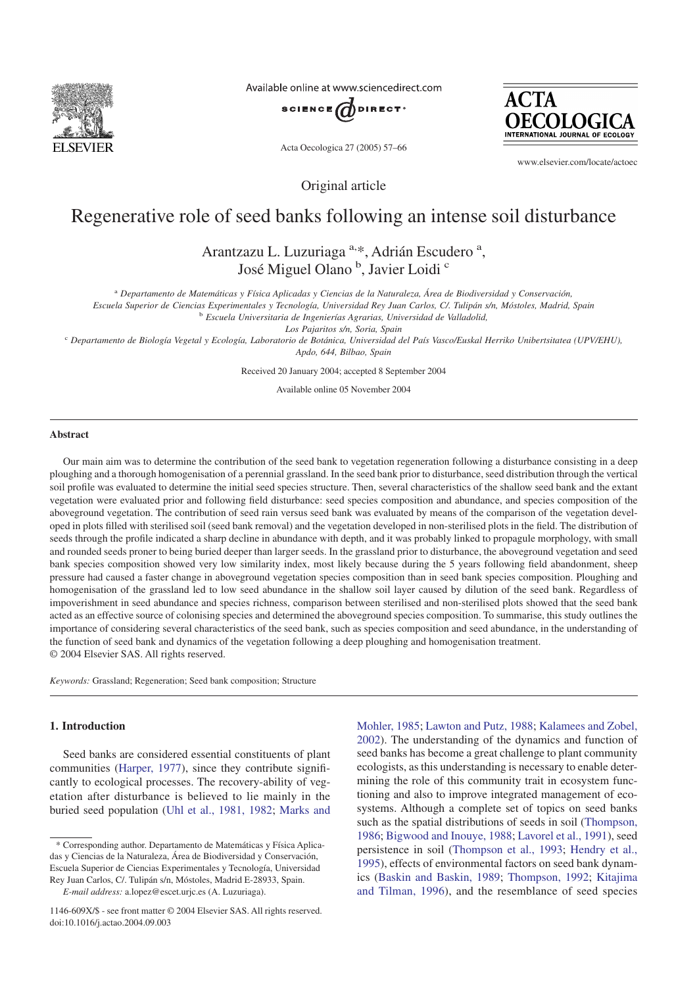

Available online at www.sciencedirect.com





Acta Oecologica 27 (2005) 57–66

www.elsevier.com/locate/actoec

# Regenerative role of seed banks following an intense soil disturbance

Original article

## Arantzazu L. Luzuriaga<sup>a, \*</sup>, Adrián Escudero<sup>a</sup>, José Miguel Olano<sup>b</sup>, Javier Loidi<sup>c</sup>

<sup>a</sup> *Departamento de Matemáticas y Física Aplicadas y Ciencias de la Naturaleza, Área de Biodiversidad y Conservación,*

*Escuela Superior de Ciencias Experimentales y Tecnología, Universidad Rey Juan Carlos, C/. Tulipán s/n, Móstoles, Madrid, Spain*

<sup>b</sup> *Escuela Universitaria de Ingenierías Agrarias, Universidad de Valladolid,*

*Los Pajaritos s/n, Soria, Spain*

<sup>c</sup> *Departamento de Biología Vegetal y Ecología, Laboratorio de Botánica, Universidad del País Vasco/Euskal Herriko Unibertsitatea (UPV/EHU),*

*Apdo, 644, Bilbao, Spain*

Received 20 January 2004; accepted 8 September 2004

Available online 05 November 2004

#### **Abstract**

Our main aim was to determine the contribution of the seed bank to vegetation regeneration following a disturbance consisting in a deep ploughing and a thorough homogenisation of a perennial grassland. In the seed bank prior to disturbance, seed distribution through the vertical soil profile was evaluated to determine the initial seed species structure. Then, several characteristics of the shallow seed bank and the extant vegetation were evaluated prior and following field disturbance: seed species composition and abundance, and species composition of the aboveground vegetation. The contribution of seed rain versus seed bank was evaluated by means of the comparison of the vegetation developed in plots filled with sterilised soil (seed bank removal) and the vegetation developed in non-sterilised plots in the field. The distribution of seeds through the profile indicated a sharp decline in abundance with depth, and it was probably linked to propagule morphology, with small and rounded seeds proner to being buried deeper than larger seeds. In the grassland prior to disturbance, the aboveground vegetation and seed bank species composition showed very low similarity index, most likely because during the 5 years following field abandonment, sheep pressure had caused a faster change in aboveground vegetation species composition than in seed bank species composition. Ploughing and homogenisation of the grassland led to low seed abundance in the shallow soil layer caused by dilution of the seed bank. Regardless of impoverishment in seed abundance and species richness, comparison between sterilised and non-sterilised plots showed that the seed bank acted as an effective source of colonising species and determined the aboveground species composition. To summarise, this study outlines the importance of considering several characteristics of the seed bank, such as species composition and seed abundance, in the understanding of the function of seed bank and dynamics of the vegetation following a deep ploughing and homogenisation treatment. © 2004 Elsevier SAS. All rights reserved.

*Keywords:* Grassland; Regeneration; Seed bank composition; Structure

#### **1. Introduction**

Seed banks are considered essential constituents of plant communities [\(Harper, 1977\)](#page-8-0), since they contribute significantly to ecological processes. The recovery-ability of vegetation after disturbance is believed to lie mainly in the buried seed population [\(Uhl et al., 1981, 1982;](#page-9-0) [Marks and](#page-9-0)

*E-mail address:* a.lopez@escet.urjc.es (A. Luzuriaga).

[Mohler, 1985;](#page-9-0) [Lawton and Putz, 1988;](#page-9-0) [Kalamees and Zobel,](#page-8-0) [2002\)](#page-8-0). The understanding of the dynamics and function of seed banks has become a great challenge to plant community ecologists, as this understanding is necessary to enable determining the role of this community trait in ecosystem functioning and also to improve integrated management of ecosystems. Although a complete set of topics on seed banks such as the spatial distributions of seeds in soil [\(Thompson,](#page-9-0) [1986;](#page-9-0) [Bigwood and Inouye, 1988;](#page-8-0) [Lavorel et al., 1991\)](#page-8-0), seed persistence in soil [\(Thompson et al., 1993;](#page-9-0) [Hendry et al.,](#page-8-0) [1995\)](#page-8-0), effects of environmental factors on seed bank dynamics [\(Baskin and Baskin, 1989;](#page-8-0) [Thompson, 1992;](#page-9-0) [Kitajima](#page-8-0) [and Tilman, 1996\)](#page-8-0), and the resemblance of seed species

<sup>\*</sup> Corresponding author. Departamento de Matemáticas y Física Aplicadas y Ciencias de la Naturaleza, Área de Biodiversidad y Conservación, Escuela Superior de Ciencias Experimentales y Tecnología, Universidad Rey Juan Carlos, C/. Tulipán s/n, Móstoles, Madrid E-28933, Spain.

<sup>1146-609</sup>X/\$ - see front matter © 2004 Elsevier SAS. All rights reserved. doi:10.1016/j.actao.2004.09.003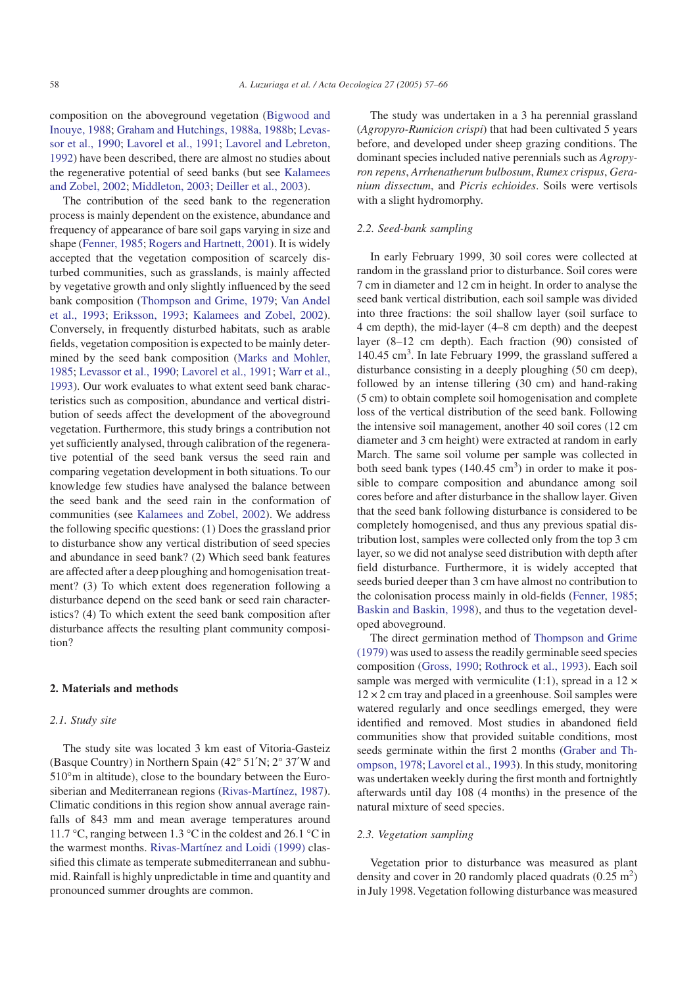composition on the aboveground vegetation [\(Bigwood and](#page-8-0) [Inouye, 1988;](#page-8-0) [Graham and Hutchings, 1988a, 1988b;](#page-8-0) [Levas](#page-9-0)[sor et al., 1990;](#page-9-0) [Lavorel et al., 1991;](#page-8-0) [Lavorel and Lebreton,](#page-8-0) [1992\)](#page-8-0) have been described, there are almost no studies about the regenerative potential of seed banks (but see [Kalamees](#page-8-0) [and Zobel, 2002;](#page-8-0) [Middleton, 2003;](#page-9-0) [Deiller et al., 2003\)](#page-8-0).

The contribution of the seed bank to the regeneration process is mainly dependent on the existence, abundance and frequency of appearance of bare soil gaps varying in size and shape [\(Fenner, 1985;](#page-8-0) [Rogers and Hartnett, 2001\)](#page-9-0). It is widely accepted that the vegetation composition of scarcely disturbed communities, such as grasslands, is mainly affected by vegetative growth and only slightly influenced by the seed bank composition [\(Thompson and Grime, 1979;](#page-9-0) [Van Andel](#page-9-0) [et al., 1993;](#page-9-0) [Eriksson, 1993;](#page-8-0) [Kalamees and Zobel, 2002\)](#page-8-0). Conversely, in frequently disturbed habitats, such as arable fields, vegetation composition is expected to be mainly determined by the seed bank composition [\(Marks and Mohler,](#page-9-0) [1985;](#page-9-0) [Levassor et al., 1990;](#page-9-0) [Lavorel et al., 1991;](#page-8-0) [Warr et al.,](#page-9-0) [1993\)](#page-9-0). Our work evaluates to what extent seed bank characteristics such as composition, abundance and vertical distribution of seeds affect the development of the aboveground vegetation. Furthermore, this study brings a contribution not yet sufficiently analysed, through calibration of the regenerative potential of the seed bank versus the seed rain and comparing vegetation development in both situations. To our knowledge few studies have analysed the balance between the seed bank and the seed rain in the conformation of communities (see [Kalamees and Zobel, 2002\)](#page-8-0). We address the following specific questions: (1) Does the grassland prior to disturbance show any vertical distribution of seed species and abundance in seed bank? (2) Which seed bank features are affected after a deep ploughing and homogenisation treatment? (3) To which extent does regeneration following a disturbance depend on the seed bank or seed rain characteristics? (4) To which extent the seed bank composition after disturbance affects the resulting plant community composition?

## **2. Materials and methods**

#### *2.1. Study site*

The study site was located 3 km east of Vitoria-Gasteiz (Basque Country) in Northern Spain (42° 51′N; 2° 37′W and 510°m in altitude), close to the boundary between the Eurosiberian and Mediterranean regions [\(Rivas-Martínez, 1987\)](#page-9-0). Climatic conditions in this region show annual average rainfalls of 843 mm and mean average temperatures around 11.7 °C, ranging between 1.3 °C in the coldest and 26.1 °C in the warmest months. [Rivas-Martínez and Loidi \(1999\)](#page-9-0) classified this climate as temperate submediterranean and subhumid. Rainfall is highly unpredictable in time and quantity and pronounced summer droughts are common.

The study was undertaken in a 3 ha perennial grassland (*Agropyro-Rumicion crispi*) that had been cultivated 5 years before, and developed under sheep grazing conditions. The dominant species included native perennials such as *Agropyron repens*, *Arrhenatherum bulbosum*, *Rumex crispus*, *Geranium dissectum*, and *Picris echioides*. Soils were vertisols with a slight hydromorphy.

#### *2.2. Seed-bank sampling*

In early February 1999, 30 soil cores were collected at random in the grassland prior to disturbance. Soil cores were 7 cm in diameter and 12 cm in height. In order to analyse the seed bank vertical distribution, each soil sample was divided into three fractions: the soil shallow layer (soil surface to 4 cm depth), the mid-layer (4–8 cm depth) and the deepest layer (8–12 cm depth). Each fraction (90) consisted of 140.45 cm3 . In late February 1999, the grassland suffered a disturbance consisting in a deeply ploughing (50 cm deep), followed by an intense tillering (30 cm) and hand-raking (5 cm) to obtain complete soil homogenisation and complete loss of the vertical distribution of the seed bank. Following the intensive soil management, another 40 soil cores (12 cm diameter and 3 cm height) were extracted at random in early March. The same soil volume per sample was collected in both seed bank types (140.45 cm<sup>3</sup>) in order to make it possible to compare composition and abundance among soil cores before and after disturbance in the shallow layer. Given that the seed bank following disturbance is considered to be completely homogenised, and thus any previous spatial distribution lost, samples were collected only from the top 3 cm layer, so we did not analyse seed distribution with depth after field disturbance. Furthermore, it is widely accepted that seeds buried deeper than 3 cm have almost no contribution to the colonisation process mainly in old-fields [\(Fenner, 1985;](#page-8-0) [Baskin and Baskin, 1998\)](#page-8-0), and thus to the vegetation developed aboveground.

The direct germination method of [Thompson and Grime](#page-9-0) [\(1979\)](#page-9-0) was used to assess the readily germinable seed species composition [\(Gross, 1990;](#page-8-0) [Rothrock et al., 1993\)](#page-9-0). Each soil sample was merged with vermiculite (1:1), spread in a  $12 \times$  $12 \times 2$  cm tray and placed in a greenhouse. Soil samples were watered regularly and once seedlings emerged, they were identified and removed. Most studies in abandoned field communities show that provided suitable conditions, most seeds germinate within the first 2 months [\(Graber and Th](#page-8-0)[ompson, 1978;](#page-8-0) [Lavorel et al., 1993\)](#page-8-0). In this study, monitoring was undertaken weekly during the first month and fortnightly afterwards until day 108 (4 months) in the presence of the natural mixture of seed species.

#### *2.3. Vegetation sampling*

Vegetation prior to disturbance was measured as plant density and cover in 20 randomly placed quadrats  $(0.25 \text{ m}^2)$ in July 1998. Vegetation following disturbance was measured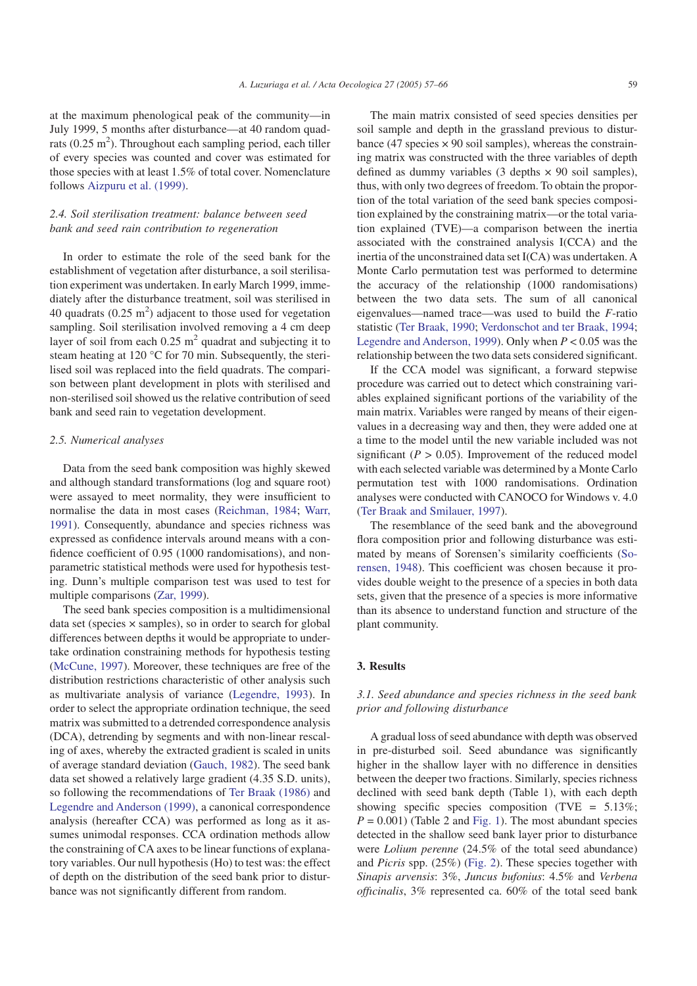at the maximum phenological peak of the community—in July 1999, 5 months after disturbance—at 40 random quadrats (0.25 m<sup>2</sup>). Throughout each sampling period, each tiller of every species was counted and cover was estimated for those species with at least 1.5% of total cover. Nomenclature follows [Aizpuru et al. \(1999\).](#page-8-0)

## *2.4. Soil sterilisation treatment: balance between seed bank and seed rain contribution to regeneration*

In order to estimate the role of the seed bank for the establishment of vegetation after disturbance, a soil sterilisation experiment was undertaken. In early March 1999, immediately after the disturbance treatment, soil was sterilised in 40 quadrats  $(0.25 \text{ m}^2)$  adjacent to those used for vegetation sampling. Soil sterilisation involved removing a 4 cm deep layer of soil from each  $0.25 \text{ m}^2$  quadrat and subjecting it to steam heating at 120 °C for 70 min. Subsequently, the sterilised soil was replaced into the field quadrats. The comparison between plant development in plots with sterilised and non-sterilised soil showed us the relative contribution of seed bank and seed rain to vegetation development.

#### *2.5. Numerical analyses*

Data from the seed bank composition was highly skewed and although standard transformations (log and square root) were assayed to meet normality, they were insufficient to normalise the data in most cases [\(Reichman, 1984;](#page-9-0) [Warr,](#page-9-0) [1991\)](#page-9-0). Consequently, abundance and species richness was expressed as confidence intervals around means with a confidence coefficient of 0.95 (1000 randomisations), and nonparametric statistical methods were used for hypothesis testing. Dunn's multiple comparison test was used to test for multiple comparisons [\(Zar, 1999\)](#page-9-0).

The seed bank species composition is a multidimensional data set (species × samples), so in order to search for global differences between depths it would be appropriate to undertake ordination constraining methods for hypothesis testing [\(McCune, 1997\)](#page-9-0). Moreover, these techniques are free of the distribution restrictions characteristic of other analysis such as multivariate analysis of variance [\(Legendre, 1993\)](#page-9-0). In order to select the appropriate ordination technique, the seed matrix was submitted to a detrended correspondence analysis (DCA), detrending by segments and with non-linear rescaling of axes, whereby the extracted gradient is scaled in units of average standard deviation [\(Gauch, 1982\)](#page-8-0). The seed bank data set showed a relatively large gradient (4.35 S.D. units), so following the recommendations of [Ter Braak \(1986\)](#page-9-0) and [Legendre and Anderson \(1999\),](#page-9-0) a canonical correspondence analysis (hereafter CCA) was performed as long as it assumes unimodal responses. CCA ordination methods allow the constraining of CA axes to be linear functions of explanatory variables. Our null hypothesis (Ho) to test was: the effect of depth on the distribution of the seed bank prior to disturbance was not significantly different from random.

The main matrix consisted of seed species densities per soil sample and depth in the grassland previous to disturbance (47 species  $\times$  90 soil samples), whereas the constraining matrix was constructed with the three variables of depth defined as dummy variables  $(3$  depths  $\times$  90 soil samples), thus, with only two degrees of freedom. To obtain the proportion of the total variation of the seed bank species composition explained by the constraining matrix—or the total variation explained (TVE)—a comparison between the inertia associated with the constrained analysis I(CCA) and the inertia of the unconstrained data set I(CA) was undertaken. A Monte Carlo permutation test was performed to determine the accuracy of the relationship (1000 randomisations) between the two data sets. The sum of all canonical eigenvalues—named trace—was used to build the *F*-ratio statistic [\(Ter Braak, 1990;](#page-9-0) [Verdonschot and ter Braak, 1994;](#page-9-0) [Legendre and Anderson, 1999\)](#page-9-0). Only when *P* < 0.05 was the relationship between the two data sets considered significant.

If the CCA model was significant, a forward stepwise procedure was carried out to detect which constraining variables explained significant portions of the variability of the main matrix. Variables were ranged by means of their eigenvalues in a decreasing way and then, they were added one at a time to the model until the new variable included was not significant ( $P > 0.05$ ). Improvement of the reduced model with each selected variable was determined by a Monte Carlo permutation test with 1000 randomisations. Ordination analyses were conducted with CANOCO for Windows v. 4.0 [\(Ter Braak and Smilauer, 1997\)](#page-9-0).

The resemblance of the seed bank and the aboveground flora composition prior and following disturbance was estimated by means of Sorensen's similarity coefficients [\(So](#page-9-0)[rensen, 1948\)](#page-9-0). This coefficient was chosen because it provides double weight to the presence of a species in both data sets, given that the presence of a species is more informative than its absence to understand function and structure of the plant community.

#### **3. Results**

### *3.1. Seed abundance and species richness in the seed bank prior and following disturbance*

A gradual loss of seed abundance with depth was observed in pre-disturbed soil. Seed abundance was significantly higher in the shallow layer with no difference in densities between the deeper two fractions. Similarly, species richness declined with seed bank depth (Table 1), with each depth showing specific species composition (TVE =  $5.13\%$ ;  $P = 0.001$ ) (Table 2 and [Fig. 1\)](#page-4-0). The most abundant species detected in the shallow seed bank layer prior to disturbance were *Lolium perenne* (24.5% of the total seed abundance) and *Picris* spp. (25%) [\(Fig. 2\)](#page-5-0). These species together with *Sinapis arvensis*: 3%, *Juncus bufonius*: 4.5% and *Verbena offıcinalis*, 3% represented ca. 60% of the total seed bank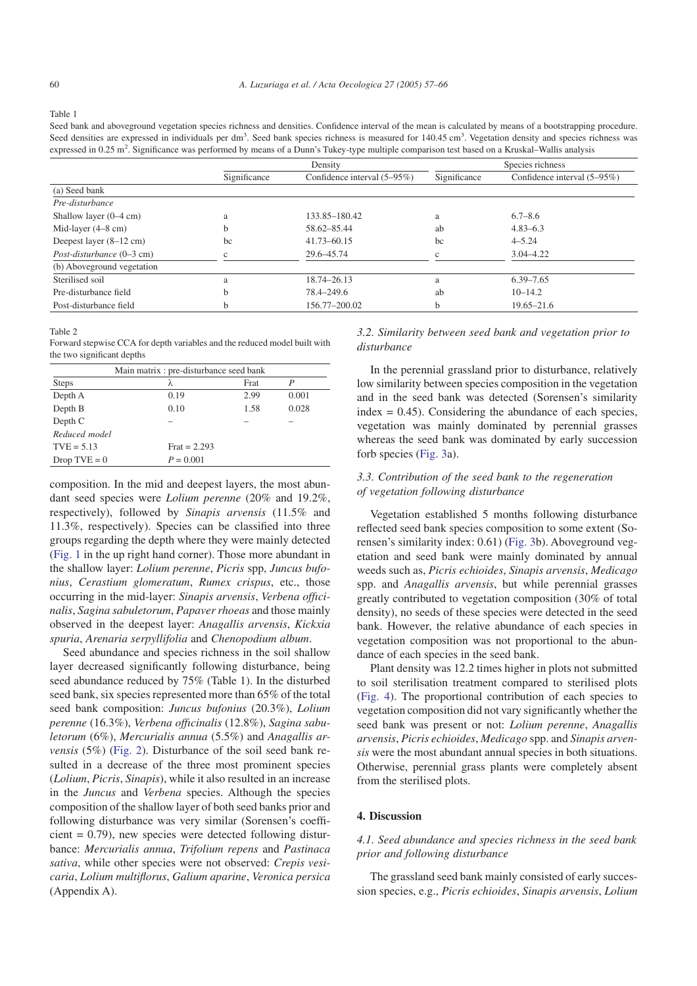Table 1

Seed bank and aboveground vegetation species richness and densities. Confidence interval of the mean is calculated by means of a bootstrapping procedure. Seed densities are expressed in individuals per dm<sup>3</sup>. Seed bank species richness is measured for 140.45 cm<sup>3</sup>. Vegetation density and species richness was expressed in 0.25 m<sup>2</sup>. Significance was performed by means of a Dunn's Tukey-type multiple comparison test based on a Kruskal–Wallis analysis

|                                  |              | Density                       |              | Species richness            |  |  |
|----------------------------------|--------------|-------------------------------|--------------|-----------------------------|--|--|
|                                  | Significance | Confidence interval $(5-95%)$ | Significance | Confidence interval (5–95%) |  |  |
| (a) Seed bank                    |              |                               |              |                             |  |  |
| Pre-disturbance                  |              |                               |              |                             |  |  |
| Shallow layer $(0-4 \text{ cm})$ | a            | 133.85-180.42                 | a            | $6.7 - 8.6$                 |  |  |
| Mid-layer $(4–8 \text{ cm})$     | b            | 58.62-85.44                   | ab           | $4.83 - 6.3$                |  |  |
| Deepest layer (8–12 cm)          | bc           | 41.73-60.15                   | bc           | $4 - 5.24$                  |  |  |
| Post-disturbance (0-3 cm)        | c            | 29.6–45.74                    | c            | $3.04 - 4.22$               |  |  |
| (b) Aboveground vegetation       |              |                               |              |                             |  |  |
| Sterilised soil                  | a            | 18.74-26.13                   | a            | 6.39–7.65                   |  |  |
| Pre-disturbance field            | h            | 78.4-249.6                    | ab           | $10 - 14.2$                 |  |  |
| Post-disturbance field           | h            | 156.77-200.02                 | h            | $19.65 - 21.6$              |  |  |

Table 2

Forward stepwise CCA for depth variables and the reduced model built with the two significant depths

| Main matrix : pre-disturbance seed bank |                       |      |       |  |  |  |  |  |
|-----------------------------------------|-----------------------|------|-------|--|--|--|--|--|
| <b>Steps</b>                            | λ                     | Frat | P     |  |  |  |  |  |
| Depth A                                 | 0.19                  | 2.99 | 0.001 |  |  |  |  |  |
| Depth B                                 | 0.10                  | 1.58 | 0.028 |  |  |  |  |  |
| Depth C                                 |                       |      |       |  |  |  |  |  |
| Reduced model                           |                       |      |       |  |  |  |  |  |
| $TVE = 5.13$                            | $\text{Frat} = 2.293$ |      |       |  |  |  |  |  |
| $Drop TVE = 0$                          | $P = 0.001$           |      |       |  |  |  |  |  |

composition. In the mid and deepest layers, the most abundant seed species were *Lolium perenne* (20% and 19.2%, respectively), followed by *Sinapis arvensis* (11.5% and 11.3%, respectively). Species can be classified into three groups regarding the depth where they were mainly detected [\(Fig. 1](#page-4-0) in the up right hand corner). Those more abundant in the shallow layer: *Lolium perenne*, *Picris* spp, *Juncus bufonius*, *Cerastium glomeratum*, *Rumex crispus*, etc., those occurring in the mid-layer: *Sinapis arvensis*, *Verbena offıcinalis*, *Sagina sabuletorum*, *Papaver rhoeas* and those mainly observed in the deepest layer: *Anagallis arvensis*, *Kickxia spuria*, *Arenaria serpyllifolia* and *Chenopodium album*.

Seed abundance and species richness in the soil shallow layer decreased significantly following disturbance, being seed abundance reduced by 75% (Table 1). In the disturbed seed bank, six species represented more than 65% of the total seed bank composition: *Juncus bufonius* (20.3%), *Lolium perenne* (16.3%), *Verbena offıcinalis* (12.8%), *Sagina sabuletorum* (6%), *Mercurialis annua* (5.5%) and *Anagallis arvensis* (5%) [\(Fig. 2\)](#page-5-0). Disturbance of the soil seed bank resulted in a decrease of the three most prominent species (*Lolium*, *Picris*, *Sinapis*), while it also resulted in an increase in the *Juncus* and *Verbena* species. Although the species composition of the shallow layer of both seed banks prior and following disturbance was very similar (Sorensen's coeffi $cient = 0.79$ , new species were detected following disturbance: *Mercurialis annua*, *Trifolium repens* and *Pastinaca sativa*, while other species were not observed: *Crepis vesicaria*, *Lolium multiflorus*, *Galium aparine*, *Veronica persica* (Appendix A).

## *3.2. Similarity between seed bank and vegetation prior to disturbance*

In the perennial grassland prior to disturbance, relatively low similarity between species composition in the vegetation and in the seed bank was detected (Sorensen's similarity index  $= 0.45$ ). Considering the abundance of each species, vegetation was mainly dominated by perennial grasses whereas the seed bank was dominated by early succession forb species [\(Fig. 3a](#page-6-0)).

## *3.3. Contribution of the seed bank to the regeneration of vegetation following disturbance*

Vegetation established 5 months following disturbance reflected seed bank species composition to some extent (Sorensen's similarity index: 0.61) [\(Fig. 3b](#page-6-0)). Aboveground vegetation and seed bank were mainly dominated by annual weeds such as, *Picris echioides*, *Sinapis arvensis*, *Medicago* spp. and *Anagallis arvensis*, but while perennial grasses greatly contributed to vegetation composition (30% of total density), no seeds of these species were detected in the seed bank. However, the relative abundance of each species in vegetation composition was not proportional to the abundance of each species in the seed bank.

Plant density was 12.2 times higher in plots not submitted to soil sterilisation treatment compared to sterilised plots [\(Fig. 4\)](#page-6-0). The proportional contribution of each species to vegetation composition did not vary significantly whether the seed bank was present or not: *Lolium perenne*, *Anagallis arvensis*, *Picris echioides*, *Medicago* spp. and *Sinapis arvensis* were the most abundant annual species in both situations. Otherwise, perennial grass plants were completely absent from the sterilised plots.

## **4. Discussion**

## *4.1. Seed abundance and species richness in the seed bank prior and following disturbance*

The grassland seed bank mainly consisted of early succession species, e.g., *Picris echioides*, *Sinapis arvensis*, *Lolium*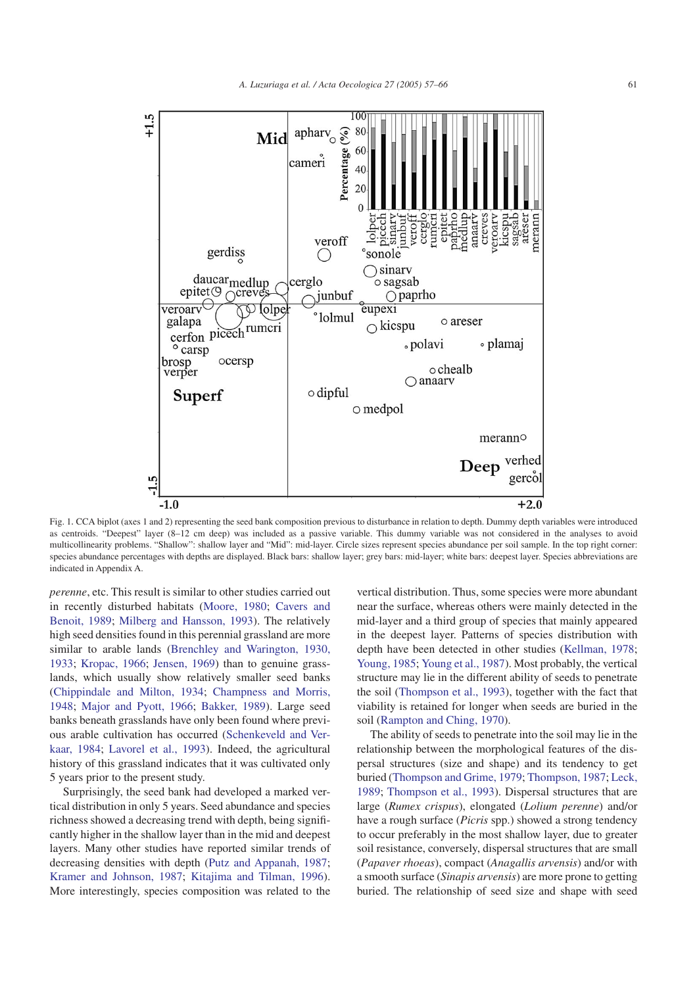<span id="page-4-0"></span>

Fig. 1. CCA biplot (axes 1 and 2) representing the seed bank composition previous to disturbance in relation to depth. Dummy depth variables were introduced as centroids. "Deepest" layer (8–12 cm deep) was included as a passive variable. This dummy variable was not considered in the analyses to avoid multicollinearity problems. "Shallow": shallow layer and "Mid": mid-layer. Circle sizes represent species abundance per soil sample. In the top right corner: species abundance percentages with depths are displayed. Black bars: shallow layer; grey bars: mid-layer; white bars: deepest layer. Species abbreviations are indicated in Appendix A.

*perenne*, etc. This result is similar to other studies carried out in recently disturbed habitats [\(Moore, 1980;](#page-9-0) [Cavers and](#page-8-0) [Benoit, 1989;](#page-8-0) [Milberg and Hansson, 1993\)](#page-9-0). The relatively high seed densities found in this perennial grassland are more similar to arable lands [\(Brenchley and Warington, 1930,](#page-8-0) [1933;](#page-8-0) [Kropac, 1966;](#page-8-0) [Jensen, 1969\)](#page-8-0) than to genuine grasslands, which usually show relatively smaller seed banks [\(Chippindale and Milton, 1934;](#page-8-0) [Champness and Morris,](#page-8-0) [1948;](#page-8-0) [Major and Pyott, 1966;](#page-9-0) [Bakker, 1989\)](#page-8-0). Large seed banks beneath grasslands have only been found where previous arable cultivation has occurred [\(Schenkeveld and Ver](#page-9-0)[kaar, 1984;](#page-9-0) [Lavorel et al., 1993\)](#page-8-0). Indeed, the agricultural history of this grassland indicates that it was cultivated only 5 years prior to the present study.

Surprisingly, the seed bank had developed a marked vertical distribution in only 5 years. Seed abundance and species richness showed a decreasing trend with depth, being significantly higher in the shallow layer than in the mid and deepest layers. Many other studies have reported similar trends of decreasing densities with depth [\(Putz and Appanah, 1987;](#page-9-0) [Kramer and Johnson, 1987;](#page-8-0) [Kitajima and Tilman, 1996\)](#page-8-0). More interestingly, species composition was related to the

vertical distribution. Thus, some species were more abundant near the surface, whereas others were mainly detected in the mid-layer and a third group of species that mainly appeared in the deepest layer. Patterns of species distribution with depth have been detected in other studies [\(Kellman, 1978;](#page-8-0) [Young, 1985;](#page-9-0) [Young et al., 1987\)](#page-9-0). Most probably, the vertical structure may lie in the different ability of seeds to penetrate the soil [\(Thompson et al., 1993\)](#page-9-0), together with the fact that viability is retained for longer when seeds are buried in the soil [\(Rampton and Ching, 1970\)](#page-9-0).

The ability of seeds to penetrate into the soil may lie in the relationship between the morphological features of the dispersal structures (size and shape) and its tendency to get buried [\(Thompson and Grime, 1979;](#page-9-0) [Thompson, 1987;](#page-9-0) [Leck,](#page-9-0) [1989;](#page-9-0) [Thompson et al., 1993\)](#page-9-0). Dispersal structures that are large (*Rumex crispus*), elongated (*Lolium perenne*) and/or have a rough surface (*Picris* spp.) showed a strong tendency to occur preferably in the most shallow layer, due to greater soil resistance, conversely, dispersal structures that are small (*Papaver rhoeas*), compact (*Anagallis arvensis*) and/or with a smooth surface (*Sinapis arvensis*) are more prone to getting buried. The relationship of seed size and shape with seed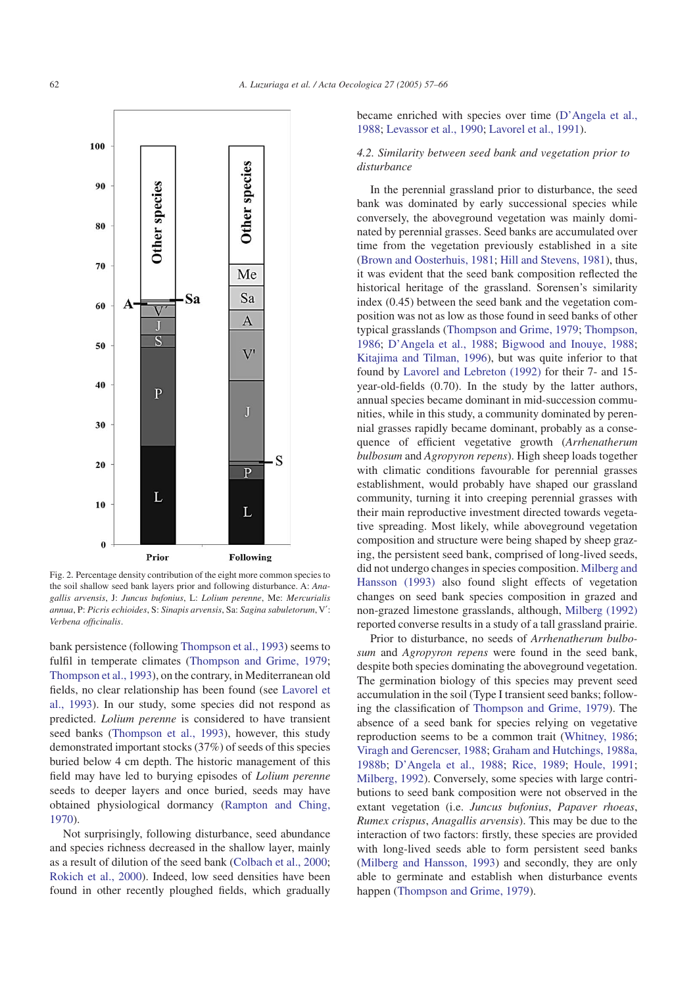<span id="page-5-0"></span>

Fig. 2. Percentage density contribution of the eight more common species to the soil shallow seed bank layers prior and following disturbance. A: *Anagallis arvensis*, J: *Juncus bufonius*, L: *Lolium perenne*, Me: *Mercurialis annua*, P: *Picris echioides*, S: *Sinapis arvensis*, Sa: *Sagina sabuletorum*, V′: *Verbena offıcinalis*.

bank persistence (following [Thompson et al., 1993\)](#page-9-0) seems to fulfil in temperate climates [\(Thompson and Grime, 1979;](#page-9-0) [Thompson et al., 1993\)](#page-9-0), on the contrary, in Mediterranean old fields, no clear relationship has been found (see [Lavorel et](#page-8-0) [al., 1993\)](#page-8-0). In our study, some species did not respond as predicted. *Lolium perenne* is considered to have transient seed banks [\(Thompson et al., 1993\)](#page-9-0), however, this study demonstrated important stocks (37%) of seeds of this species buried below 4 cm depth. The historic management of this field may have led to burying episodes of *Lolium perenne* seeds to deeper layers and once buried, seeds may have obtained physiological dormancy [\(Rampton and Ching,](#page-9-0) [1970\)](#page-9-0).

Not surprisingly, following disturbance, seed abundance and species richness decreased in the shallow layer, mainly as a result of dilution of the seed bank [\(Colbach et al., 2000;](#page-8-0) [Rokich et al., 2000\)](#page-9-0). Indeed, low seed densities have been found in other recently ploughed fields, which gradually

became enriched with species over time [\(D'Angela et al.,](#page-8-0) [1988;](#page-8-0) [Levassor et al., 1990;](#page-9-0) [Lavorel et al., 1991\)](#page-8-0).

## *4.2. Similarity between seed bank and vegetation prior to disturbance*

In the perennial grassland prior to disturbance, the seed bank was dominated by early successional species while conversely, the aboveground vegetation was mainly dominated by perennial grasses. Seed banks are accumulated over time from the vegetation previously established in a site [\(Brown and Oosterhuis, 1981;](#page-8-0) [Hill and Stevens, 1981\)](#page-8-0), thus, it was evident that the seed bank composition reflected the historical heritage of the grassland. Sorensen's similarity index (0.45) between the seed bank and the vegetation composition was not as low as those found in seed banks of other typical grasslands [\(Thompson and Grime, 1979;](#page-9-0) [Thompson,](#page-9-0) [1986;](#page-9-0) [D'Angela et al., 1988;](#page-8-0) [Bigwood and Inouye, 1988;](#page-8-0) [Kitajima and Tilman, 1996\)](#page-8-0), but was quite inferior to that found by [Lavorel and Lebreton \(1992\)](#page-8-0) for their 7- and 15 year-old-fields (0.70). In the study by the latter authors, annual species became dominant in mid-succession communities, while in this study, a community dominated by perennial grasses rapidly became dominant, probably as a consequence of efficient vegetative growth (*Arrhenatherum bulbosum* and *Agropyron repens*). High sheep loads together with climatic conditions favourable for perennial grasses establishment, would probably have shaped our grassland community, turning it into creeping perennial grasses with their main reproductive investment directed towards vegetative spreading. Most likely, while aboveground vegetation composition and structure were being shaped by sheep grazing, the persistent seed bank, comprised of long-lived seeds, did not undergo changes in species composition. [Milberg and](#page-9-0) [Hansson \(1993\)](#page-9-0) also found slight effects of vegetation changes on seed bank species composition in grazed and non-grazed limestone grasslands, although, [Milberg \(1992\)](#page-9-0) reported converse results in a study of a tall grassland prairie.

Prior to disturbance, no seeds of *Arrhenatherum bulbosum* and *Agropyron repens* were found in the seed bank, despite both species dominating the aboveground vegetation. The germination biology of this species may prevent seed accumulation in the soil (Type I transient seed banks; following the classification of [Thompson and Grime, 1979\)](#page-9-0). The absence of a seed bank for species relying on vegetative reproduction seems to be a common trait [\(Whitney, 1986;](#page-9-0) [Viragh and Gerencser, 1988;](#page-9-0) [Graham and Hutchings, 1988a,](#page-8-0) [1988b;](#page-8-0) [D'Angela et al., 1988;](#page-8-0) [Rice, 1989;](#page-9-0) [Houle, 1991;](#page-8-0) [Milberg, 1992\)](#page-9-0). Conversely, some species with large contributions to seed bank composition were not observed in the extant vegetation (i.e. *Juncus bufonius*, *Papaver rhoeas*, *Rumex crispus*, *Anagallis arvensis*). This may be due to the interaction of two factors: firstly, these species are provided with long-lived seeds able to form persistent seed banks [\(Milberg and Hansson, 1993\)](#page-9-0) and secondly, they are only able to germinate and establish when disturbance events happen [\(Thompson and Grime, 1979\)](#page-9-0).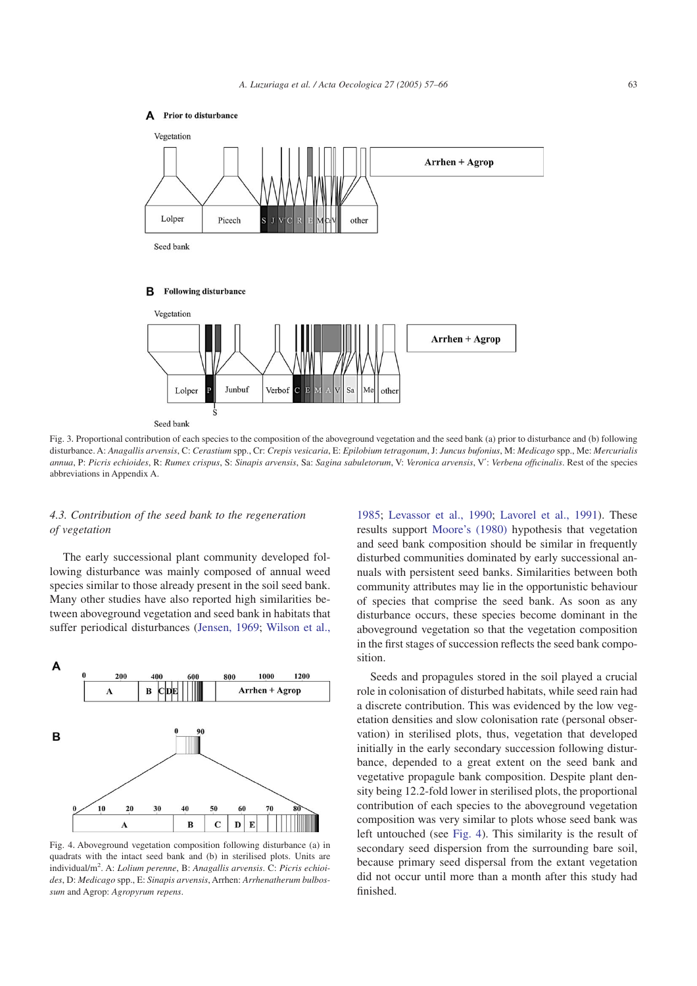<span id="page-6-0"></span>

Fig. 3. Proportional contribution of each species to the composition of the aboveground vegetation and the seed bank (a) prior to disturbance and (b) following disturbance. A: *Anagallis arvensis*, C: *Cerastium* spp., Cr: *Crepis vesicaria*, E: *Epilobium tetragonum*, J: *Juncus bufonius*, M: *Medicago* spp., Me: *Mercurialis annua*, P: *Picris echioides*, R: *Rumex crispus*, S: *Sinapis arvensis*, Sa: *Sagina sabuletorum*, V: *Veronica arvensis*, V′: *Verbena offıcinalis*. Rest of the species abbreviations in Appendix A.

### *4.3. Contribution of the seed bank to the regeneration of vegetation*

The early successional plant community developed following disturbance was mainly composed of annual weed species similar to those already present in the soil seed bank. Many other studies have also reported high similarities between aboveground vegetation and seed bank in habitats that suffer periodical disturbances [\(Jensen, 1969;](#page-8-0) [Wilson et al.,](#page-9-0)



Fig. 4. Aboveground vegetation composition following disturbance (a) in quadrats with the intact seed bank and (b) in sterilised plots. Units are individual/m2 . A: *Lolium perenne*, B: *Anagallis arvensis*. C: *Picris echioides*, D: *Medicago* spp., E: *Sinapis arvensis*, Arrhen: *Arrhenatherum bulbossum* and Agrop: *Agropyrum repens*.

[1985;](#page-9-0) [Levassor et al., 1990;](#page-9-0) [Lavorel et al., 1991\)](#page-8-0). These results support [Moore's \(1980\)](#page-9-0) hypothesis that vegetation and seed bank composition should be similar in frequently disturbed communities dominated by early successional annuals with persistent seed banks. Similarities between both community attributes may lie in the opportunistic behaviour of species that comprise the seed bank. As soon as any disturbance occurs, these species become dominant in the aboveground vegetation so that the vegetation composition in the first stages of succession reflects the seed bank composition.

Seeds and propagules stored in the soil played a crucial role in colonisation of disturbed habitats, while seed rain had a discrete contribution. This was evidenced by the low vegetation densities and slow colonisation rate (personal observation) in sterilised plots, thus, vegetation that developed initially in the early secondary succession following disturbance, depended to a great extent on the seed bank and vegetative propagule bank composition. Despite plant density being 12.2-fold lower in sterilised plots, the proportional contribution of each species to the aboveground vegetation composition was very similar to plots whose seed bank was left untouched (see Fig. 4). This similarity is the result of secondary seed dispersion from the surrounding bare soil, because primary seed dispersal from the extant vegetation did not occur until more than a month after this study had finished.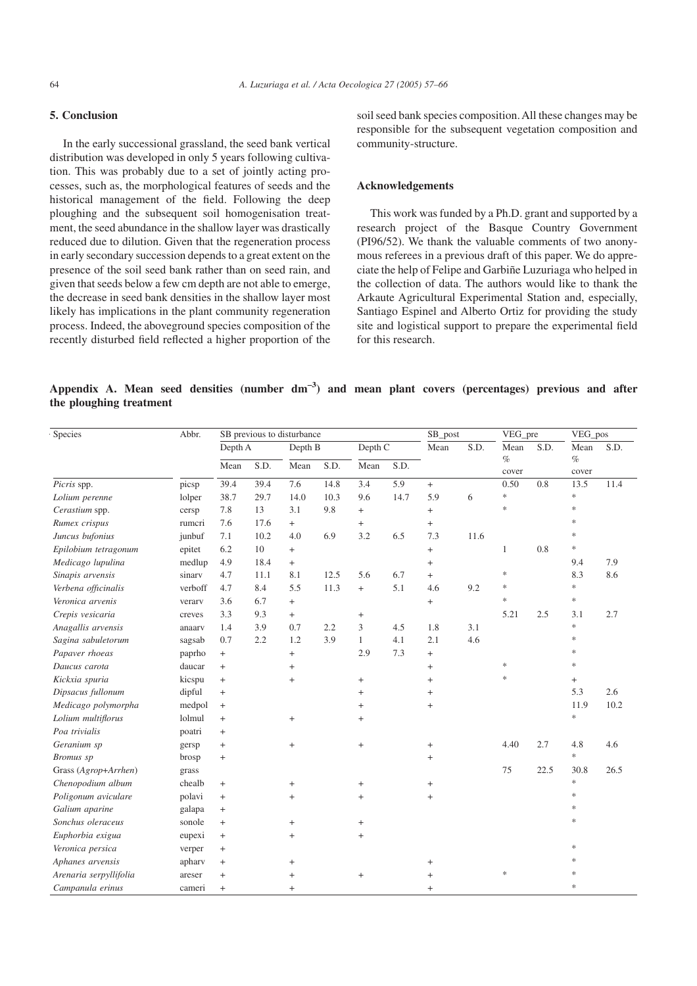## **5. Conclusion**

In the early successional grassland, the seed bank vertical distribution was developed in only 5 years following cultivation. This was probably due to a set of jointly acting processes, such as, the morphological features of seeds and the historical management of the field. Following the deep ploughing and the subsequent soil homogenisation treatment, the seed abundance in the shallow layer was drastically reduced due to dilution. Given that the regeneration process in early secondary succession depends to a great extent on the presence of the soil seed bank rather than on seed rain, and given that seeds below a few cm depth are not able to emerge, the decrease in seed bank densities in the shallow layer most likely has implications in the plant community regeneration process. Indeed, the aboveground species composition of the recently disturbed field reflected a higher proportion of the

soil seed bank species composition.All these changes may be responsible for the subsequent vegetation composition and community-structure.

#### **Acknowledgements**

This work was funded by a Ph.D. grant and supported by a research project of the Basque Country Government (PI96/52). We thank the valuable comments of two anonymous referees in a previous draft of this paper. We do appreciate the help of Felipe and Garbiñe Luzuriaga who helped in the collection of data. The authors would like to thank the Arkaute Agricultural Experimental Station and, especially, Santiago Espinel and Alberto Ortiz for providing the study site and logistical support to prepare the experimental field for this research.

**Appendix A. Mean seed densities (number dm–3) and mean plant covers (percentages) previous and after the ploughing treatment**

| Species                | Abbr.   | SB previous to disturbance |      |                                  |      |                                  | $SB$ _post |                                  | VEG_pre |               | VEG_pos |                   |      |
|------------------------|---------|----------------------------|------|----------------------------------|------|----------------------------------|------------|----------------------------------|---------|---------------|---------|-------------------|------|
|                        |         | Depth A                    |      | Depth B                          |      | Depth C                          |            | Mean                             | S.D.    | Mean          | S.D.    | Mean              | S.D. |
|                        |         | Mean                       | S.D. | Mean                             | S.D. | Mean                             | S.D.       |                                  |         | $\%$          |         | $\%$              |      |
| Picris spp.            | picsp   | 39.4                       | 39.4 | 7.6                              | 14.8 | 3.4                              | 5.9        | $^{+}$                           |         | cover<br>0.50 | 0.8     | cover<br>13.5     | 11.4 |
| Lolium perenne         | lolper  | 38.7                       | 29.7 | 14.0                             | 10.3 | 9.6                              | 14.7       | 5.9                              | 6       | $\ast$        |         | $\frac{1}{2} \xi$ |      |
| Cerastium spp.         | cersp   | 7.8                        | 13   | 3.1                              | 9.8  | $+$                              |            | $\qquad \qquad +$                |         | $\ast$        |         | *                 |      |
| Rumex crispus          | rumcri  | 7.6                        | 17.6 | $+$                              |      | $+$                              |            | $\ddot{}$                        |         |               |         | 冰                 |      |
| Juncus bufonius        | junbuf  | 7.1                        | 10.2 | 4.0                              | 6.9  | 3.2                              | 6.5        | 7.3                              | 11.6    |               |         | *                 |      |
| Epilobium tetragonum   | epitet  | 6.2                        | 10   | $\ddot{}$                        |      |                                  |            | $\qquad \qquad +$                |         | $\mathbf{1}$  | 0.8     | ×.                |      |
| Medicago lupulina      | medlup  | 4.9                        | 18.4 | $^{+}$                           |      |                                  |            | $\ddot{}$                        |         |               |         | 9.4               | 7.9  |
| Sinapis arvensis       | sinary  | 4.7                        | 11.1 | 8.1                              | 12.5 | 5.6                              | 6.7        | $^{+}$                           |         | $\ast$        |         | 8.3               | 8.6  |
| Verbena officinalis    | verboff | 4.7                        | 8.4  | 5.5                              | 11.3 | $^{+}$                           | 5.1        | 4.6                              | 9.2     | ×             |         | ×.                |      |
| Veronica arvenis       | verarv  | 3.6                        | 6.7  | $+$                              |      |                                  |            | $\ddot{}$                        |         | $\ast$        |         | $\ast$            |      |
| Crepis vesicaria       | creves  | 3.3                        | 9.3  | $^{+}$                           |      | $\begin{array}{c} + \end{array}$ |            |                                  |         | 5.21          | 2.5     | 3.1               | 2.7  |
| Anagallis arvensis     | anaarv  | 1.4                        | 3.9  | 0.7                              | 2.2  | 3                                | 4.5        | 1.8                              | 3.1     |               |         | ×.                |      |
| Sagina sabuletorum     | sagsab  | 0.7                        | 2.2  | 1.2                              | 3.9  | $\mathbf{1}$                     | 4.1        | 2.1                              | 4.6     |               |         | $\ast$            |      |
| Papaver rhoeas         | paprho  | $^{+}$                     |      | $\! + \!\!\!\!$                  |      | 2.9                              | 7.3        | $\qquad \qquad +$                |         |               |         | *                 |      |
| Daucus carota          | daucar  | $^{+}$                     |      | $\qquad \qquad +$                |      |                                  |            | $\begin{array}{c} + \end{array}$ |         | $\ast$        |         | *                 |      |
| Kickxia spuria         | kicspu  | $^{+}$                     |      | $\qquad \qquad +$                |      | $+$                              |            | $^{+}$                           |         | $\ast$        |         | $^{+}$            |      |
| Dipsacus fullonum      | dipful  | $^{+}$                     |      |                                  |      | $\ddot{}$                        |            | $^{+}$                           |         |               |         | 5.3               | 2.6  |
| Medicago polymorpha    | medpol  | $^{+}$                     |      |                                  |      | $^{+}$                           |            | $\ddot{}$                        |         |               |         | 11.9              | 10.2 |
| Lolium multiflorus     | lolmul  | $^{+}$                     |      | $\ddot{}$                        |      | $\ddot{}$                        |            |                                  |         |               |         | ×.                |      |
| Poa trivialis          | poatri  | $^{+}$                     |      |                                  |      |                                  |            |                                  |         |               |         |                   |      |
| Geranium sp            | gersp   | $^{+}$                     |      | $\begin{array}{c} + \end{array}$ |      | $^{+}$                           |            | $^{+}$                           |         | 4.40          | 2.7     | 4.8               | 4.6  |
| <b>Bromus</b> sp       | brosp   | $^{+}$                     |      |                                  |      |                                  |            | $^{+}$                           |         |               |         | ×.                |      |
| Grass (Agrop+Arrhen)   | grass   |                            |      |                                  |      |                                  |            |                                  |         | 75            | 22.5    | 30.8              | 26.5 |
| Chenopodium album      | chealb  | $^{+}$                     |      | $^{+}$                           |      | $\begin{array}{c} + \end{array}$ |            | $^{+}$                           |         |               |         | ×.                |      |
| Poligonum aviculare    | polavi  | $^{+}$                     |      | $^{+}$                           |      | $^{+}$                           |            | $^{+}$                           |         |               |         | *                 |      |
| Galium aparine         | galapa  | $^{+}$                     |      |                                  |      |                                  |            |                                  |         |               |         | *                 |      |
| Sonchus oleraceus      | sonole  | $^{+}$                     |      | $^{+}$                           |      | $+$                              |            |                                  |         |               |         | *                 |      |
| Euphorbia exigua       | eupexi  | $^{+}$                     |      | $^{+}$                           |      | $+$                              |            |                                  |         |               |         |                   |      |
| Veronica persica       | verper  | $^{+}$                     |      |                                  |      |                                  |            |                                  |         |               |         | $\ast$            |      |
| Aphanes arvensis       | aphary  | $^{+}$                     |      | $\qquad \qquad +$                |      |                                  |            | $\begin{array}{c} + \end{array}$ |         |               |         | *                 |      |
| Arenaria serpyllifolia | areser  | $^{+}$                     |      | $\ddot{}$                        |      | $\ddot{}$                        |            |                                  |         | $\ast$        |         | *                 |      |
| Campanula erinus       | cameri  | $^{+}$                     |      | $^{+}$                           |      |                                  |            | $+$                              |         |               |         | *                 |      |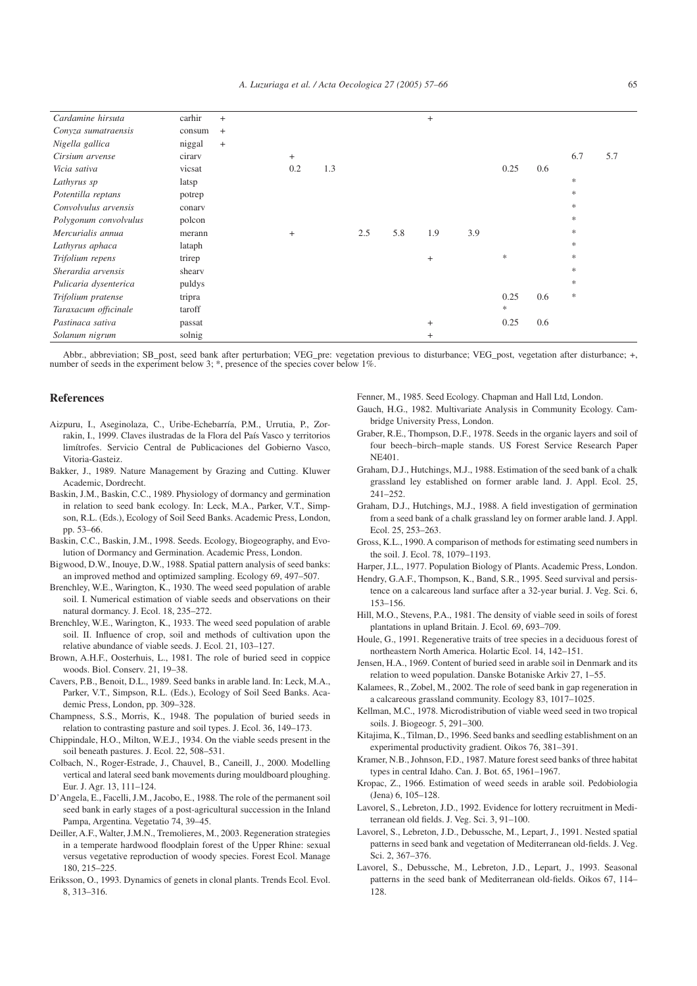<span id="page-8-0"></span>

| Cardamine hirsuta     | carhir | $+$    |        |     |     |     | $+$    |     |      |     |               |     |
|-----------------------|--------|--------|--------|-----|-----|-----|--------|-----|------|-----|---------------|-----|
| Conyza sumatraensis   | consum | $^{+}$ |        |     |     |     |        |     |      |     |               |     |
| Nigella gallica       | niggal | $^{+}$ |        |     |     |     |        |     |      |     |               |     |
| Cirsium arvense       | cirary |        | $^{+}$ |     |     |     |        |     |      |     | 6.7           | 5.7 |
| Vicia sativa          | vicsat |        | 0.2    | 1.3 |     |     |        |     | 0.25 | 0.6 |               |     |
| Lathyrus sp           | latsp  |        |        |     |     |     |        |     |      |     | $\ast$        |     |
| Potentilla reptans    | potrep |        |        |     |     |     |        |     |      |     | $\frac{1}{2}$ |     |
| Convolvulus arvensis  | conary |        |        |     |     |     |        |     |      |     | *             |     |
| Polygonum convolvulus | polcon |        |        |     |     |     |        |     |      |     | $\frac{1}{2}$ |     |
| Mercurialis annua     | merann |        | $^{+}$ |     | 2.5 | 5.8 | 1.9    | 3.9 |      |     | *             |     |
| Lathyrus aphaca       | lataph |        |        |     |     |     |        |     |      |     | *             |     |
| Trifolium repens      | trirep |        |        |     |     |     | $^{+}$ |     | *    |     | *             |     |
| Sherardia arvensis    | sheary |        |        |     |     |     |        |     |      |     | *             |     |
| Pulicaria dysenterica | puldys |        |        |     |     |     |        |     |      |     | $\frac{1}{2}$ |     |
| Trifolium pratense    | tripra |        |        |     |     |     |        |     | 0.25 | 0.6 | $\frac{1}{2}$ |     |
| Taraxacum officinale  | taroff |        |        |     |     |     |        |     | *    |     |               |     |
| Pastinaca sativa      | passat |        |        |     |     |     | $^{+}$ |     | 0.25 | 0.6 |               |     |
| Solanum nigrum        | solnig |        |        |     |     |     | $^{+}$ |     |      |     |               |     |

Abbr., abbreviation; SB\_post, seed bank after perturbation; VEG\_pre: vegetation previous to disturbance; VEG\_post, vegetation after disturbance; +, number of seeds in the experiment below 3; \*, presence of the species cover below 1%.

#### **References**

- Aizpuru, I., Aseginolaza, C., Uribe-Echebarría, P.M., Urrutia, P., Zorrakin, I., 1999. Claves ilustradas de la Flora del País Vasco y territorios limítrofes. Servicio Central de Publicaciones del Gobierno Vasco, Vitoria-Gasteiz.
- Bakker, J., 1989. Nature Management by Grazing and Cutting. Kluwer Academic, Dordrecht.
- Baskin, J.M., Baskin, C.C., 1989. Physiology of dormancy and germination in relation to seed bank ecology. In: Leck, M.A., Parker, V.T., Simpson, R.L. (Eds.), Ecology of Soil Seed Banks. Academic Press, London, pp. 53–66.
- Baskin, C.C., Baskin, J.M., 1998. Seeds. Ecology, Biogeography, and Evolution of Dormancy and Germination. Academic Press, London.
- Bigwood, D.W., Inouye, D.W., 1988. Spatial pattern analysis of seed banks: an improved method and optimized sampling. Ecology 69, 497–507.
- Brenchley, W.E., Warington, K., 1930. The weed seed population of arable soil. I. Numerical estimation of viable seeds and observations on their natural dormancy. J. Ecol. 18, 235–272.
- Brenchley, W.E., Warington, K., 1933. The weed seed population of arable soil. II. Influence of crop, soil and methods of cultivation upon the relative abundance of viable seeds. J. Ecol. 21, 103–127.
- Brown, A.H.F., Oosterhuis, L., 1981. The role of buried seed in coppice woods. Biol. Conserv. 21, 19–38.
- Cavers, P.B., Benoit, D.L., 1989. Seed banks in arable land. In: Leck, M.A., Parker, V.T., Simpson, R.L. (Eds.), Ecology of Soil Seed Banks. Academic Press, London, pp. 309–328.
- Champness, S.S., Morris, K., 1948. The population of buried seeds in relation to contrasting pasture and soil types. J. Ecol. 36, 149–173.
- Chippindale, H.O., Milton, W.E.J., 1934. On the viable seeds present in the soil beneath pastures. J. Ecol. 22, 508–531.
- Colbach, N., Roger-Estrade, J., Chauvel, B., Caneill, J., 2000. Modelling vertical and lateral seed bank movements during mouldboard ploughing. Eur. J. Agr. 13, 111–124.
- D'Angela, E., Facelli, J.M., Jacobo, E., 1988. The role of the permanent soil seed bank in early stages of a post-agricultural succession in the Inland Pampa, Argentina. Vegetatio 74, 39–45.
- Deiller, A.F., Walter, J.M.N., Tremolieres, M., 2003. Regeneration strategies in a temperate hardwood floodplain forest of the Upper Rhine: sexual versus vegetative reproduction of woody species. Forest Ecol. Manage 180, 215–225.
- Eriksson, O., 1993. Dynamics of genets in clonal plants. Trends Ecol. Evol. 8, 313–316.

Fenner, M., 1985. Seed Ecology. Chapman and Hall Ltd, London.

- Gauch, H.G., 1982. Multivariate Analysis in Community Ecology. Cambridge University Press, London.
- Graber, R.E., Thompson, D.F., 1978. Seeds in the organic layers and soil of four beech–birch–maple stands. US Forest Service Research Paper NE401.
- Graham, D.J., Hutchings, M.J., 1988. Estimation of the seed bank of a chalk grassland ley established on former arable land. J. Appl. Ecol. 25, 241–252.
- Graham, D.J., Hutchings, M.J., 1988. A field investigation of germination from a seed bank of a chalk grassland ley on former arable land. J. Appl. Ecol. 25, 253–263.
- Gross, K.L., 1990. A comparison of methods for estimating seed numbers in the soil. J. Ecol. 78, 1079–1193.
- Harper, J.L., 1977. Population Biology of Plants. Academic Press, London.
- Hendry, G.A.F., Thompson, K., Band, S.R., 1995. Seed survival and persistence on a calcareous land surface after a 32-year burial. J. Veg. Sci. 6, 153–156.
- Hill, M.O., Stevens, P.A., 1981. The density of viable seed in soils of forest plantations in upland Britain. J. Ecol. 69, 693–709.
- Houle, G., 1991. Regenerative traits of tree species in a deciduous forest of northeastern North America. Holartic Ecol. 14, 142–151.
- Jensen, H.A., 1969. Content of buried seed in arable soil in Denmark and its relation to weed population. Danske Botaniske Arkiv 27, 1–55.
- Kalamees, R., Zobel, M., 2002. The role of seed bank in gap regeneration in a calcareous grassland community. Ecology 83, 1017–1025.
- Kellman, M.C., 1978. Microdistribution of viable weed seed in two tropical soils. J. Biogeogr. 5, 291–300.
- Kitajima, K., Tilman, D., 1996. Seed banks and seedling establishment on an experimental productivity gradient. Oikos 76, 381–391.
- Kramer, N.B., Johnson, F.D., 1987. Mature forest seed banks of three habitat types in central Idaho. Can. J. Bot. 65, 1961–1967.
- Kropac, Z., 1966. Estimation of weed seeds in arable soil. Pedobiologia (Jena) 6, 105–128.
- Lavorel, S., Lebreton, J.D., 1992. Evidence for lottery recruitment in Mediterranean old fields. J. Veg. Sci. 3, 91–100.
- Lavorel, S., Lebreton, J.D., Debussche, M., Lepart, J., 1991. Nested spatial patterns in seed bank and vegetation of Mediterranean old-fields. J. Veg. Sci. 2, 367–376.
- Lavorel, S., Debussche, M., Lebreton, J.D., Lepart, J., 1993. Seasonal patterns in the seed bank of Mediterranean old-fields. Oikos 67, 114– 128.